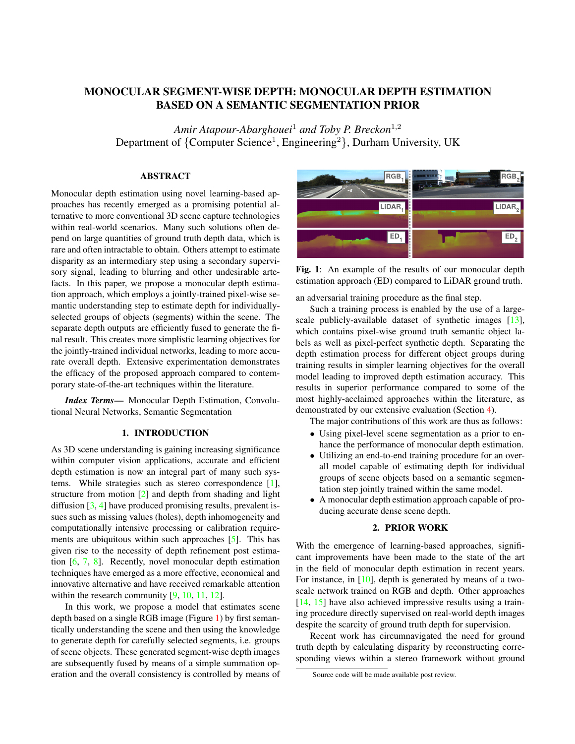# MONOCULAR SEGMENT-WISE DEPTH: MONOCULAR DEPTH ESTIMATION BASED ON A SEMANTIC SEGMENTATION PRIOR

*Amir Atapour-Abarghouei*<sup>1</sup> *and Toby P. Breckon*<sup>1</sup>,<sup>2</sup> Department of {Computer Science<sup>1</sup>, Engineering<sup>2</sup>}, Durham University, UK

## **ABSTRACT**

Monocular depth estimation using novel learning-based approaches has recently emerged as a promising potential alternative to more conventional 3D scene capture technologies within real-world scenarios. Many such solutions often depend on large quantities of ground truth depth data, which is rare and often intractable to obtain. Others attempt to estimate disparity as an intermediary step using a secondary supervisory signal, leading to blurring and other undesirable artefacts. In this paper, we propose a monocular depth estimation approach, which employs a jointly-trained pixel-wise semantic understanding step to estimate depth for individuallyselected groups of objects (segments) within the scene. The separate depth outputs are efficiently fused to generate the final result. This creates more simplistic learning objectives for the jointly-trained individual networks, leading to more accurate overall depth. Extensive experimentation demonstrates the efficacy of the proposed approach compared to contemporary state-of-the-art techniques within the literature.

*Index Terms*— Monocular Depth Estimation, Convolutional Neural Networks, Semantic Segmentation

### 1. INTRODUCTION

As 3D scene understanding is gaining increasing significance within computer vision applications, accurate and efficient depth estimation is now an integral part of many such systems. While strategies such as stereo correspondence [\[1\]](#page-4-0), structure from motion [\[2\]](#page-4-1) and depth from shading and light diffusion [\[3,](#page-4-2) [4\]](#page-4-3) have produced promising results, prevalent issues such as missing values (holes), depth inhomogeneity and computationally intensive processing or calibration requirements are ubiquitous within such approaches [\[5\]](#page-4-4). This has given rise to the necessity of depth refinement post estimation [\[6,](#page-4-5) [7,](#page-4-6) [8\]](#page-4-7). Recently, novel monocular depth estimation techniques have emerged as a more effective, economical and innovative alternative and have received remarkable attention within the research community [\[9,](#page-4-8) [10,](#page-4-9) [11,](#page-4-10) [12\]](#page-4-11).

In this work, we propose a model that estimates scene depth based on a single RGB image (Figure [1\)](#page-0-0) by first semantically understanding the scene and then using the knowledge to generate depth for carefully selected segments, i.e. groups of scene objects. These generated segment-wise depth images are subsequently fused by means of a simple summation operation and the overall consistency is controlled by means of

<span id="page-0-0"></span>

Fig. 1: An example of the results of our monocular depth estimation approach (ED) compared to LiDAR ground truth.

an adversarial training procedure as the final step.

Such a training process is enabled by the use of a largescale publicly-available dataset of synthetic images [\[13\]](#page-4-12), which contains pixel-wise ground truth semantic object labels as well as pixel-perfect synthetic depth. Separating the depth estimation process for different object groups during training results in simpler learning objectives for the overall model leading to improved depth estimation accuracy. This results in superior performance compared to some of the most highly-acclaimed approaches within the literature, as demonstrated by our extensive evaluation (Section [4\)](#page-3-0).

The major contributions of this work are thus as follow[s:](#page-0-1)

- Using pixel-level scene segmentation as a prior to enhance the performance of monocular depth estimation.
- Utilizing an end-to-end training procedure for an overall model capable of estimating depth for individual groups of scene objects based on a semantic segmentation step jointly trained within the same model.
- A monocular depth estimation approach capable of producing accurate dense scene depth.

## 2. PRIOR WORK

With the emergence of learning-based approaches, significant improvements have been made to the state of the art in the field of monocular depth estimation in recent years. For instance, in [\[10\]](#page-4-9), depth is generated by means of a twoscale network trained on RGB and depth. Other approaches [\[14,](#page-4-13) [15\]](#page-4-14) have also achieved impressive results using a training procedure directly supervised on real-world depth images despite the scarcity of ground truth depth for supervision.

Recent work has circumnavigated the need for ground truth depth by calculating disparity by reconstructing corresponding views within a stereo framework without ground

<span id="page-0-1"></span>Source code will be made available post review.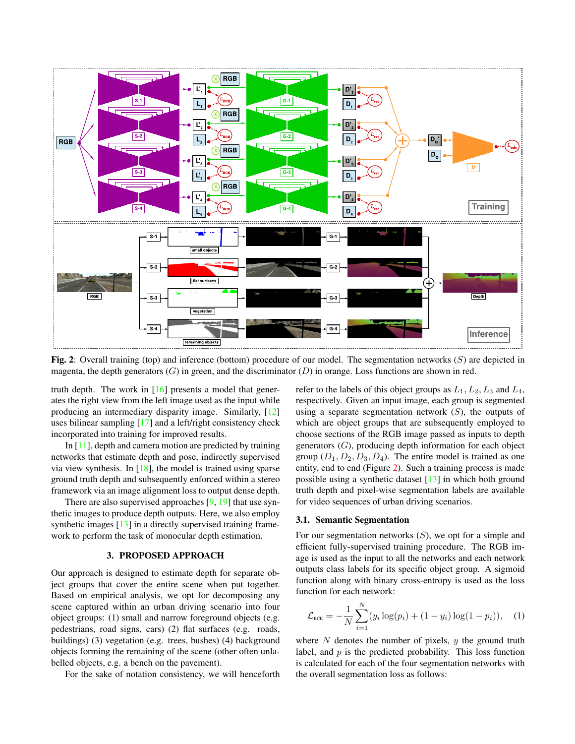<span id="page-1-0"></span>

Fig. 2: Overall training (top) and inference (bottom) procedure of our model. The segmentation networks  $(S)$  are depicted in magenta, the depth generators  $(G)$  in green, and the discriminator  $(D)$  in orange. Loss functions are shown in red.

truth depth. The work in [\[16\]](#page-4-15) presents a model that generates the right view from the left image used as the input while producing an intermediary disparity image. Similarly, [\[12\]](#page-4-11) uses bilinear sampling [\[17\]](#page-4-16) and a left/right consistency check incorporated into training for improved results.

In [\[11\]](#page-4-10), depth and camera motion are predicted by training networks that estimate depth and pose, indirectly supervised via view synthesis. In  $[18]$ , the model is trained using sparse ground truth depth and subsequently enforced within a stereo framework via an image alignment loss to output dense depth.

There are also supervised approaches [\[9,](#page-4-8) [19\]](#page-4-18) that use synthetic images to produce depth outputs. Here, we also employ synthetic images [\[13\]](#page-4-12) in a directly supervised training framework to perform the task of monocular depth estimation.

#### 3. PROPOSED APPROACH

Our approach is designed to estimate depth for separate object groups that cover the entire scene when put together. Based on empirical analysis, we opt for decomposing any scene captured within an urban driving scenario into four object groups: (1) small and narrow foreground objects (e.g. pedestrians, road signs, cars) (2) flat surfaces (e.g. roads, buildings) (3) vegetation (e.g. trees, bushes) (4) background objects forming the remaining of the scene (other often unlabelled objects, e.g. a bench on the pavement).

For the sake of notation consistency, we will henceforth

refer to the labels of this object groups as  $L_1, L_2, L_3$  and  $L_4$ , respectively. Given an input image, each group is segmented using a separate segmentation network  $(S)$ , the outputs of which are object groups that are subsequently employed to choose sections of the RGB image passed as inputs to depth generators  $(G)$ , producing depth information for each object group  $(D_1, D_2, D_3, D_4)$ . The entire model is trained as one entity, end to end (Figure [2\)](#page-1-0). Such a training process is made possible using a synthetic dataset  $[13]$  in which both ground truth depth and pixel-wise segmentation labels are available for video sequences of urban driving scenarios.

#### <span id="page-1-1"></span>3.1. Semantic Segmentation

For our segmentation networks  $(S)$ , we opt for a simple and efficient fully-supervised training procedure. The RGB image is used as the input to all the networks and each network outputs class labels for its specific object group. A sigmoid function along with binary cross-entropy is used as the loss function for each network:

$$
\mathcal{L}_{\text{BCE}} = -\frac{1}{N} \sum_{i=1}^{N} (y_i \log(p_i) + (1 - y_i) \log(1 - p_i)), \quad (1)
$$

where  $N$  denotes the number of pixels,  $y$  the ground truth label, and  $p$  is the predicted probability. This loss function is calculated for each of the four segmentation networks with the overall segmentation loss as follows: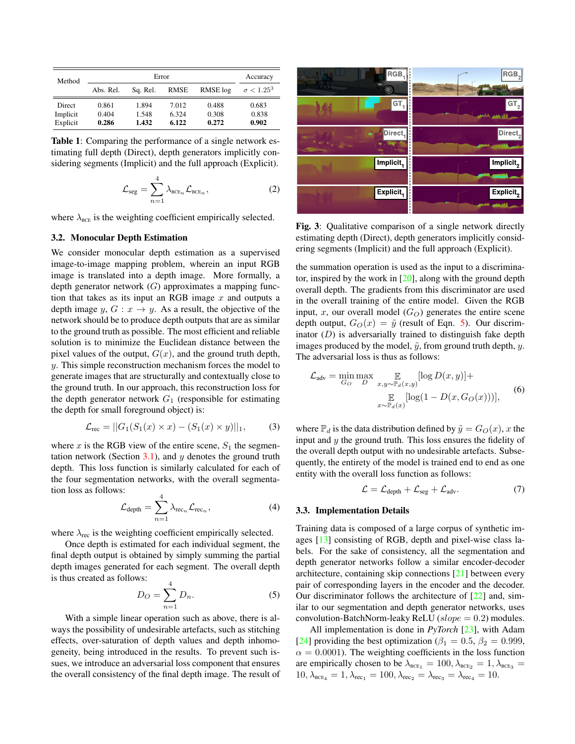<span id="page-2-2"></span>

| Method        |           | Accuracy |       |          |                   |
|---------------|-----------|----------|-------|----------|-------------------|
|               | Abs. Rel. | Sq. Rel. | RMSE  | RMSE log | $\sigma < 1.25^3$ |
| <b>Direct</b> | 0.861     | 1.894    | 7.012 | 0.488    | 0.683             |
| Implicit      | 0.404     | 1.548    | 6.324 | 0.308    | 0.838             |
| Explicit      | 0.286     | 1.432    | 6.122 | 0.272    | 0.902             |

Table 1: Comparing the performance of a single network estimating full depth (Direct), depth generators implicitly considering segments (Implicit) and the full approach (Explicit).

$$
\mathcal{L}_{\text{seg}} = \sum_{n=1}^{4} \lambda_{\text{BCE}_n} \mathcal{L}_{\text{BCE}_n},
$$
 (2)

where  $\lambda_{\text{BCE}}$  is the weighting coefficient empirically selected.

#### 3.2. Monocular Depth Estimation

We consider monocular depth estimation as a supervised image-to-image mapping problem, wherein an input RGB image is translated into a depth image. More formally, a depth generator network  $(G)$  approximates a mapping function that takes as its input an RGB image  $x$  and outputs a depth image y,  $G: x \rightarrow y$ . As a result, the objective of the network should be to produce depth outputs that are as similar to the ground truth as possible. The most efficient and reliable solution is to minimize the Euclidean distance between the pixel values of the output,  $G(x)$ , and the ground truth depth, y. This simple reconstruction mechanism forces the model to generate images that are structurally and contextually close to the ground truth. In our approach, this reconstruction loss for the depth generator network  $G_1$  (responsible for estimating the depth for small foreground object) is:

<span id="page-2-1"></span>
$$
\mathcal{L}_{\text{rec}} = ||G_1(S_1(x) \times x) - (S_1(x) \times y)||_1, \quad (3)
$$

where x is the RGB view of the entire scene,  $S_1$  the segmen-tation network (Section [3.1\)](#page-1-1), and  $y$  denotes the ground truth depth. This loss function is similarly calculated for each of the four segmentation networks, with the overall segmentation loss as follows:

$$
\mathcal{L}_{\text{depth}} = \sum_{n=1}^{4} \lambda_{\text{rec}_n} \mathcal{L}_{\text{rec}_n},
$$
\n(4)

where  $\lambda_{\text{rec}}$  is the weighting coefficient empirically selected.

Once depth is estimated for each individual segment, the final depth output is obtained by simply summing the partial depth images generated for each segment. The overall depth is thus created as follows:

<span id="page-2-0"></span>
$$
D_O = \sum_{n=1}^{4} D_n. \tag{5}
$$

With a simple linear operation such as above, there is always the possibility of undesirable artefacts, such as stitching effects, over-saturation of depth values and depth inhomogeneity, being introduced in the results. To prevent such issues, we introduce an adversarial loss component that ensures the overall consistency of the final depth image. The result of

<span id="page-2-3"></span>

Fig. 3: Qualitative comparison of a single network directly estimating depth (Direct), depth generators implicitly considering segments (Implicit) and the full approach (Explicit).

the summation operation is used as the input to a discriminator, inspired by the work in [\[20\]](#page-4-19), along with the ground depth overall depth. The gradients from this discriminator are used in the overall training of the entire model. Given the RGB input, x, our overall model  $(G<sub>O</sub>)$  generates the entire scene depth output,  $G_O(x) = \tilde{y}$  (result of Eqn. [5\)](#page-2-0). Our discriminator  $(D)$  is adversarially trained to distinguish fake depth images produced by the model,  $\tilde{y}$ , from ground truth depth,  $y$ . The adversarial loss is thus as follows:

$$
\mathcal{L}_{\text{adv}} = \min_{G_O} \max_{D} \mathop{\mathbb{E}}_{x, y \sim \mathbb{P}_d(x, y)} [\log D(x, y)] +
$$
  

$$
\mathop{\mathbb{E}}_{x \sim \mathbb{P}_d(x)} [\log(1 - D(x, G_O(x)))],
$$
(6)

where  $\mathbb{P}_d$  is the data distribution defined by  $\tilde{y} = G_O(x)$ , x the input and  $y$  the ground truth. This loss ensures the fidelity of the overall depth output with no undesirable artefacts. Subsequently, the entirety of the model is trained end to end as one entity with the overall loss function as follows:

$$
\mathcal{L} = \mathcal{L}_{\text{depth}} + \mathcal{L}_{\text{seg}} + \mathcal{L}_{\text{adv}}.\tag{7}
$$

#### 3.3. Implementation Details

Training data is composed of a large corpus of synthetic images [\[13\]](#page-4-12) consisting of RGB, depth and pixel-wise class labels. For the sake of consistency, all the segmentation and depth generator networks follow a similar encoder-decoder architecture, containing skip connections [\[21\]](#page-4-20) between every pair of corresponding layers in the encoder and the decoder. Our discriminator follows the architecture of [\[22\]](#page-4-21) and, similar to our segmentation and depth generator networks, uses convolution-BatchNorm-leaky ReLU ( $slope = 0.2$ ) modules.

All implementation is done in *PyTorch* [\[23\]](#page-4-22), with Adam [\[24\]](#page-4-23) providing the best optimization ( $\beta_1 = 0.5$ ,  $\beta_2 = 0.999$ ,  $\alpha = 0.0001$ ). The weighting coefficients in the loss function are empirically chosen to be  $\lambda_{\text{BCE}_1} = 100, \lambda_{\text{BCE}_2} = 1, \lambda_{\text{BCE}_3} =$  $10, \lambda_{\text{BCE}_4} = 1, \lambda_{\text{rec}_1} = 100, \lambda_{\text{rec}_2} = \lambda_{\text{rec}_3} = \lambda_{\text{rec}_4} = 10.$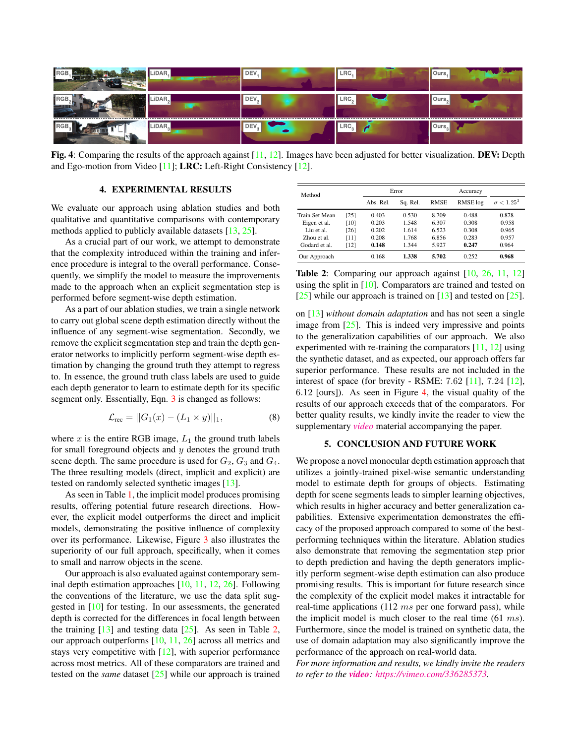<span id="page-3-2"></span>

Fig. 4: Comparing the results of the approach against [\[11,](#page-4-10) [12\]](#page-4-11). Images have been adjusted for better visualization. DEV: Depth and Ego-motion from Video [\[11\]](#page-4-10); LRC: Left-Right Consistency [\[12\]](#page-4-11).

### 4. EXPERIMENTAL RESULTS

<span id="page-3-0"></span>We evaluate our approach using ablation studies and both qualitative and quantitative comparisons with contemporary methods applied to publicly available datasets [\[13,](#page-4-12) [25\]](#page-4-24).

As a crucial part of our work, we attempt to demonstrate that the complexity introduced within the training and inference procedure is integral to the overall performance. Consequently, we simplify the model to measure the improvements made to the approach when an explicit segmentation step is performed before segment-wise depth estimation.

As a part of our ablation studies, we train a single network to carry out global scene depth estimation directly without the influence of any segment-wise segmentation. Secondly, we remove the explicit segmentation step and train the depth generator networks to implicitly perform segment-wise depth estimation by changing the ground truth they attempt to regress to. In essence, the ground truth class labels are used to guide each depth generator to learn to estimate depth for its specific segment only. Essentially, Eqn. [3](#page-2-1) is changed as follows:

$$
\mathcal{L}_{\text{rec}} = ||G_1(x) - (L_1 \times y)||_1, \tag{8}
$$

where  $x$  is the entire RGB image,  $L_1$  the ground truth labels for small foreground objects and  $y$  denotes the ground truth scene depth. The same procedure is used for  $G_2$ ,  $G_3$  and  $G_4$ . The three resulting models (direct, implicit and explicit) are tested on randomly selected synthetic images [\[13\]](#page-4-12).

As seen in Table [1,](#page-2-2) the implicit model produces promising results, offering potential future research directions. However, the explicit model outperforms the direct and implicit models, demonstrating the positive influence of complexity over its performance. Likewise, Figure [3](#page-2-3) also illustrates the superiority of our full approach, specifically, when it comes to small and narrow objects in the scene.

Our approach is also evaluated against contemporary seminal depth estimation approaches [\[10,](#page-4-9) [11,](#page-4-10) [12,](#page-4-11) [26\]](#page-4-25). Following the conventions of the literature, we use the data split suggested in [\[10\]](#page-4-9) for testing. In our assessments, the generated depth is corrected for the differences in focal length between the training  $[13]$  and testing data  $[25]$ . As seen in Table [2,](#page-3-1) our approach outperforms [\[10,](#page-4-9) [11,](#page-4-10) [26\]](#page-4-25) across all metrics and stays very competitive with  $[12]$ , with superior performance across most metrics. All of these comparators are trained and tested on the *same* dataset [\[25\]](#page-4-24) while our approach is trained

<span id="page-3-1"></span>

| Method         |      | Error     |          | Accuracy    |          |                   |
|----------------|------|-----------|----------|-------------|----------|-------------------|
|                |      | Abs. Rel. | Sq. Rel. | <b>RMSE</b> | RMSE log | $\sigma < 1.25^3$ |
| Train Set Mean | [25] | 0.403     | 0.530    | 8.709       | 0.488    | 0.878             |
| Eigen et al.   | [10] | 0.203     | 1.548    | 6.307       | 0.308    | 0.958             |
| Liu et al.     | [26] | 0.202     | 1.614    | 6.523       | 0.308    | 0.965             |
| Zhou et al.    | [11] | 0.208     | 1.768    | 6.856       | 0.283    | 0.957             |
| Godard et al.  | [12] | 0.148     | 1.344    | 5.927       | 0.247    | 0.964             |
| Our Approach   |      | 0.168     | 1.338    | 5.702       | 0.252    | 0.968             |

Table 2: Comparing our approach against [\[10,](#page-4-9) [26,](#page-4-25) [11,](#page-4-10) [12\]](#page-4-11) using the split in [\[10\]](#page-4-9). Comparators are trained and tested on [\[25\]](#page-4-24) while our approach is trained on  $[13]$  and tested on  $[25]$ .

on [\[13\]](#page-4-12) *without domain adaptation* and has not seen a single image from  $[25]$ . This is indeed very impressive and points to the generalization capabilities of our approach. We also experimented with re-training the comparators [\[11,](#page-4-10) [12\]](#page-4-11) using the synthetic dataset, and as expected, our approach offers far superior performance. These results are not included in the interest of space (for brevity - RSME: 7.62 [\[11\]](#page-4-10), 7.24 [\[12\]](#page-4-11), 6.12 [ours]). As seen in Figure [4,](#page-3-2) the visual quality of the results of our approach exceeds that of the comparators. For better quality results, we kindly invite the reader to view the supplementary *[video](https://vimeo.com/336285373)* material accompanying the paper.

### 5. CONCLUSION AND FUTURE WORK

We propose a novel monocular depth estimation approach that utilizes a jointly-trained pixel-wise semantic understanding model to estimate depth for groups of objects. Estimating depth for scene segments leads to simpler learning objectives, which results in higher accuracy and better generalization capabilities. Extensive experimentation demonstrates the efficacy of the proposed approach compared to some of the bestperforming techniques within the literature. Ablation studies also demonstrate that removing the segmentation step prior to depth prediction and having the depth generators implicitly perform segment-wise depth estimation can also produce promising results. This is important for future research since the complexity of the explicit model makes it intractable for real-time applications  $(112 \, ms \, per \, one \, forward \, pass)$ , while the implicit model is much closer to the real time (61 ms). Furthermore, since the model is trained on synthetic data, the use of domain adaptation may also significantly improve the performance of the approach on real-world data.

*For more information and results, we kindly invite the readers to refer to the [video](https://vimeo.com/336285373): [https://vimeo.com/336285373.](https://vimeo.com/336285373)*